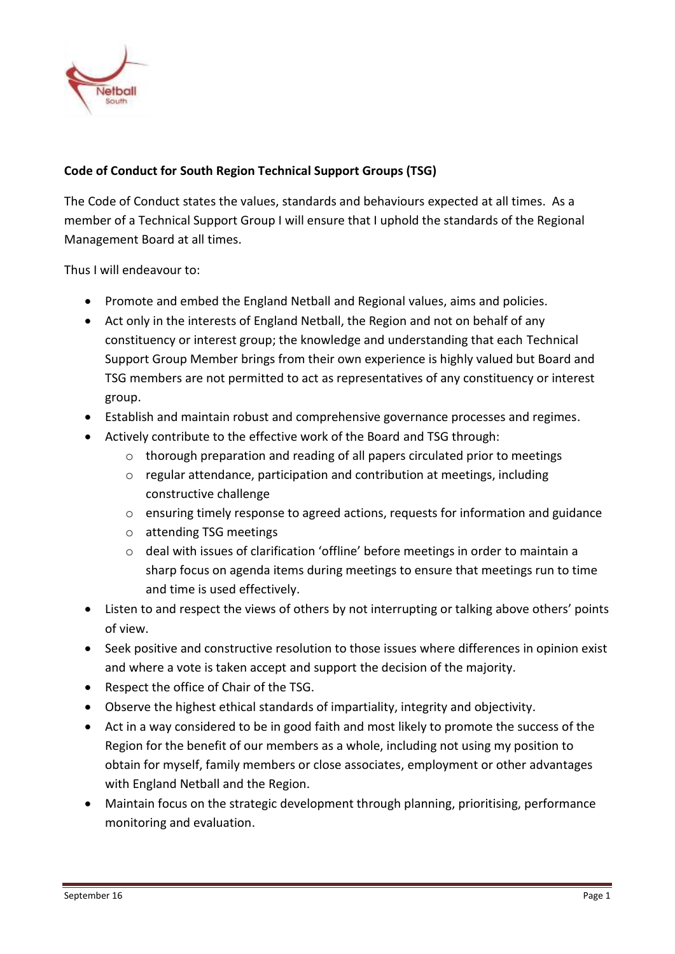

## **Code of Conduct for South Region Technical Support Groups (TSG)**

The Code of Conduct states the values, standards and behaviours expected at all times. As a member of a Technical Support Group I will ensure that I uphold the standards of the Regional Management Board at all times.

Thus I will endeavour to:

- Promote and embed the England Netball and Regional values, aims and policies.
- Act only in the interests of England Netball, the Region and not on behalf of any constituency or interest group; the knowledge and understanding that each Technical Support Group Member brings from their own experience is highly valued but Board and TSG members are not permitted to act as representatives of any constituency or interest group.
- Establish and maintain robust and comprehensive governance processes and regimes.
- Actively contribute to the effective work of the Board and TSG through:
	- o thorough preparation and reading of all papers circulated prior to meetings
	- o regular attendance, participation and contribution at meetings, including constructive challenge
	- o ensuring timely response to agreed actions, requests for information and guidance
	- o attending TSG meetings
	- o deal with issues of clarification 'offline' before meetings in order to maintain a sharp focus on agenda items during meetings to ensure that meetings run to time and time is used effectively.
- Listen to and respect the views of others by not interrupting or talking above others' points of view.
- Seek positive and constructive resolution to those issues where differences in opinion exist and where a vote is taken accept and support the decision of the majority.
- Respect the office of Chair of the TSG.
- Observe the highest ethical standards of impartiality, integrity and objectivity.
- Act in a way considered to be in good faith and most likely to promote the success of the Region for the benefit of our members as a whole, including not using my position to obtain for myself, family members or close associates, employment or other advantages with England Netball and the Region.
- Maintain focus on the strategic development through planning, prioritising, performance monitoring and evaluation.